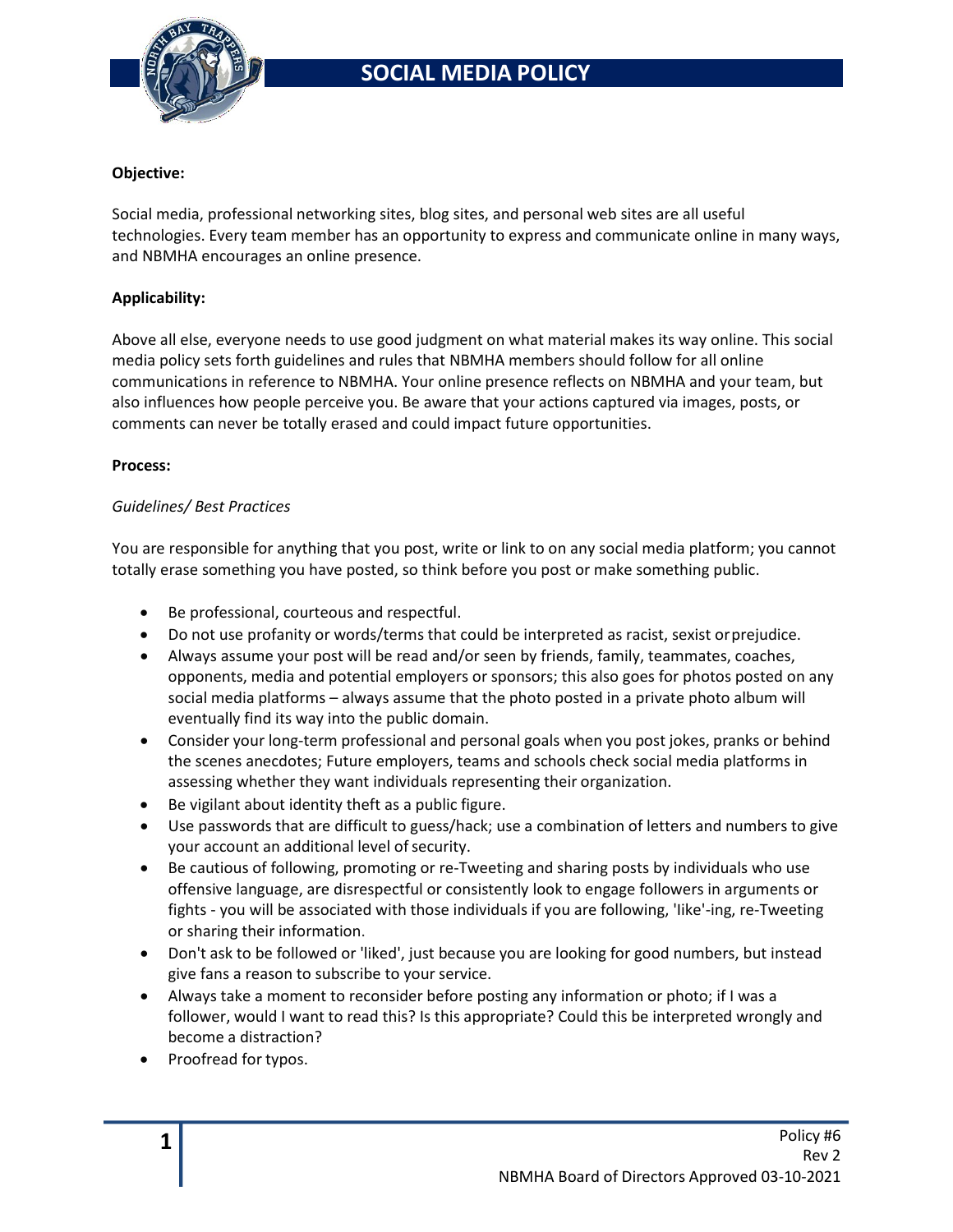

### **Objective:**

Social media, professional networking sites, blog sites, and personal web sites are all useful technologies. Every team member has an opportunity to express and communicate online in many ways, and NBMHA encourages an online presence.

### **Applicability:**

Above all else, everyone needs to use good judgment on what material makes its way online. This social media policy sets forth guidelines and rules that NBMHA members should follow for all online communications in reference to NBMHA. Your online presence reflects on NBMHA and your team, but also influences how people perceive you. Be aware that your actions captured via images, posts, or comments can never be totally erased and could impact future opportunities.

#### **Process:**

### *Guidelines/ Best Practices*

You are responsible for anything that you post, write or link to on any social media platform; you cannot totally erase something you have posted, so think before you post or make something public.

- Be professional, courteous and respectful.
- Do not use profanity or words/terms that could be interpreted as racist, sexist orprejudice.
- Always assume your post will be read and/or seen by friends, family, teammates, coaches, opponents, media and potential employers or sponsors; this also goes for photos posted on any social media platforms – always assume that the photo posted in a private photo album will eventually find its way into the public domain.
- Consider your long-term professional and personal goals when you post jokes, pranks or behind the scenes anecdotes; Future employers, teams and schools check social media platforms in assessing whether they want individuals representing their organization.
- Be vigilant about identity theft as a public figure.
- Use passwords that are difficult to guess/hack; use a combination of letters and numbers to give your account an additional level of security.
- Be cautious of following, promoting or re-Tweeting and sharing posts by individuals who use offensive language, are disrespectful or consistently look to engage followers in arguments or fights - you will be associated with those individuals if you are following, 'Iike'-ing, re-Tweeting or sharing their information.
- Don't ask to be followed or 'liked', just because you are looking for good numbers, but instead give fans a reason to subscribe to your service.
- Always take a moment to reconsider before posting any information or photo; if I was a follower, would I want to read this? Is this appropriate? Could this be interpreted wrongly and become a distraction?
- Proofread for typos.